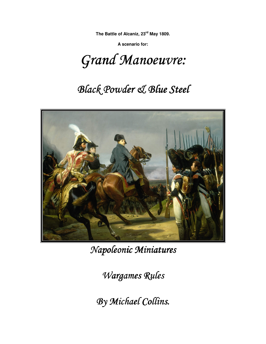**The Battle of Alcaniz, 23rd May 1809.** 

**A scenario for:** 

Grand Manoeuvre:

# *Black Powder & Blue Steel & Blue*



 $Napoleonic$  *Miniatures* 

*Wargames Rules* 

By Michael Collins.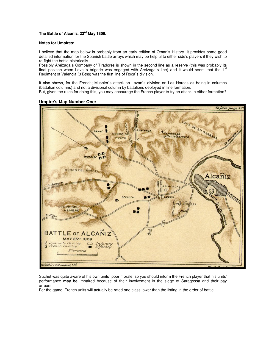### **The Battle of Alcaniz, 23rd May 1809.**

### **Notes for Umpires:**

I believe that the map below is probably from an early edition of Oman's History. It provides some good detailed information for the Spanish battle arrays which may be helpful to either side's players if they wish to re-fight the battle historically.

Possibly Areizaga`s Company of Tiradores is shown in the second line as a reserve (this was probably its final position when Leval`s brigade was engaged with Areizaga`s line) and it would seem that the 1<sup>st</sup> Regiment of Valencia (3 Btns) was the first line of Roca`s division.

It also shows, for the French; Musnier`s attack on Lazan`s division on Las Horcas as being in columns (battalion columns) and not a divisional column by battalions deployed in line formation.

But, given the rules for doing this, you may encourage the French player to try an attack in either formation?

### To face page 42t ă LOMA OF ST. BARBARA Laval armitage<br>Santa Barbara CERRO DE UEYO **DI OD GERRO DEL** PORTE Alcaniz To Sam  $\overline{AB}$ Ð  $\Box$  $1.921$ PERDIG **RRO DEL AMRRE** To Hija 66 E OF ALCANIZ BAT **MAY 23RD 1809** Cavalr sanish fantry Caratry Kilometre whishire & Stanford, Ltd

### **Umpire's Map Number One:**

Suchet was quite aware of his own units` poor morale, so you should inform the French player that his units' performance **may be** impaired because of their involvement in the siege of Saragossa and their pay arrears.

For the game, French units will actually be rated one class lower than the listing in the order of battle.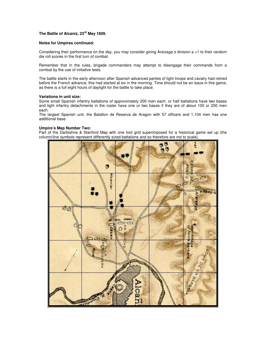### **The Battle of Alcaniz, 23rd May 1809.**

### **Notes for Umpires continued:**

Considering their performance on the day, you may consider giving Areizaga`s division a +1 to their random die roll scores in the first turn of combat.

Remember that in the rules, brigade commanders may attempt to disengage their commands from a combat by the use of initiative tests.

The battle starts in the early afternoon after Spanish advanced parties of light troops and cavalry had retired before the French advance; this had started at six in the morning. Time should not be an issue in this game, as there is a full eight hours of daylight for the battle to take place.

#### **Variations in unit size:**

Some small Spanish infantry battalions of approximately 200 men each, or half battalions have two bases and light infantry detachments in the roster have one or two bases if they are of about 100 or 200 men each.

The largest Spanish unit, the Batallon de Reserva de Aragon with 57 officers and 1,104 men has one additional base.

#### **Umpire's Map Number Two:**

Part of the Darbishire & Stanford Map with one foot grid superimposed for a historical game set up (the column/line symbols represent differently sized battalions and so therefore are not to scale).

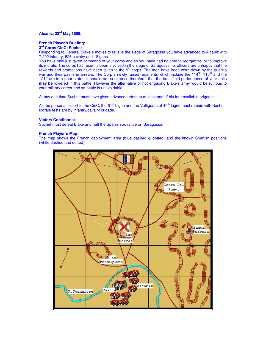### **Alcaniz. 23rd May 1809.**

### **French Player's Briefing:**

### **3 rd Corps CinC: Suchet**

Responding to General Blake`s moves to relieve the siege of Saragossa you have advanced to Alcaniz with 7,292 infantry, 526 cavalry and 18 guns.

You have only just taken command of your corps and so you have had no time to reorganize, or to improve its morale. The corps has recently been involved in the siege of Saragossa, its officers are unhappy that the rewards and promotions have been given to the 5<sup>th</sup> corps. The men have been worn down by the guerilla war and their pay is in arrears. The Corp's newly raised regiments which include the 114<sup>th</sup>, 115<sup>th</sup> and the 121<sup>st</sup> are in a poor state. It should be no surprise therefore, that the battlefield performance of your units **may be** lowered in this battle. However the alternative of not engaging Blake's army would be ruinous to your military career and so battle is unavoidable!

At any one time Suchet must have given advance orders to at least one of his four available brigades.

As the personal escort to the CinC, the 61<sup>st</sup> Ligne and the Voltigeurs of  $40<sup>th</sup>$  Ligne must remain with Suchet. Morale tests are by infantry/cavalry brigade.

### **Victory Conditions:**

Suchet must defeat Blake and halt the Spanish advance on Saragossa.

### **French Player`s Map:**

The map shows the French deployment area (blue dashed & dotted) and the known Spanish positions (white dashed and dotted).

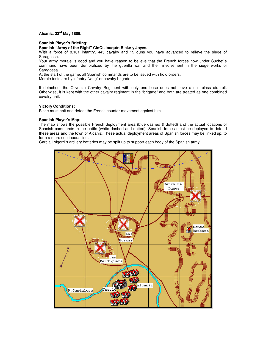## **Alcaniz. 23rd May 1809.**

### **Spanish Player's Briefing:**

**Spanish "Army of the Right" CinC: Joaquín Blake y Joyes.** 

With a force of 8,101 infantry, 445 cavalry and 19 guns you have advanced to relieve the siege of Saragossa.

Your army morale is good and you have reason to believe that the French forces now under Suchet`s command have been demoralized by the guerilla war and their involvement in the siege works of Saragossa.

At the start of the game, all Spanish commands are to be issued with hold orders.

Morale tests are by infantry "wing" or cavalry brigade.

If detached, the Olivenza Cavalry Regiment with only one base does not have a unit class die roll. Otherwise, it is kept with the other cavalry regiment in the "brigade" and both are treated as one combined cavalry unit.

### **Victory Conditions:**

Blake must halt and defeat the French counter-movement against him.

### **Spanish Player's Map:**

The map shows the possible French deployment area (blue dashed & dotted) and the actual locations of Spanish commands in the battle (white dashed and dotted). Spanish forces must be deployed to defend these areas and the town of Alcaniz. These actual deployment areas of Spanish forces may be linked up, to form a more continuous line.

Garcia Loigorri`s artillery batteries may be split up to support each body of the Spanish army.

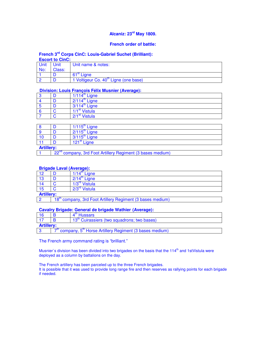## **Alcaniz: 23rd May 1809.**

### **French order of battle:**

### **French 3rd Corps CinC: Louis-Gabriel Suchet (Brilliant): Escort to CinC:**

| <b>Unit</b><br>No: | Unit<br>Class: | Unit name & notes:                                |
|--------------------|----------------|---------------------------------------------------|
|                    |                | $61^{st}$<br>Liane                                |
|                    |                | 1 Voltigeur Co. 40 <sup>th</sup> Ligne (one base) |

### **Division: Louis François Félix Musnier (Average):**

|  | $1/114$ <sup>m</sup><br>Ligne         |
|--|---------------------------------------|
|  | $2/114^{\text{th}}$ Ligne             |
|  | $3/114^{th}$<br>Ligne                 |
|  | 1/1 <sup>st</sup> Vistula             |
|  | $2/1$ <sup>St</sup><br><b>Vistula</b> |

|                   | $1/115$ <sup>th</sup> Ligne                                            |
|-------------------|------------------------------------------------------------------------|
|                   | $2/115$ <sup>th</sup> Ligne                                            |
| 10                | $3/115$ <sup>th</sup> Ligne                                            |
|                   | $121st$ Ligne                                                          |
| <b>Artillery:</b> |                                                                        |
|                   | 22 <sup>nd</sup> company, 3rd Foot Artillery Regiment (3 bases medium) |

### **Brigade Laval (Average):**

| -------           |               |                                                       |
|-------------------|---------------|-------------------------------------------------------|
| 12                |               | Liane                                                 |
| 13                |               | $2/14^{\text{th}}$ 1.<br>Ligne                        |
| 14                |               | /3'<br><b>Vistula</b>                                 |
| 15                |               | $2/3^{ra}$<br><b>Vistula</b>                          |
| <b>Artillery:</b> |               |                                                       |
|                   | $18^{\sf th}$ | company, 3rd Foot Artillery Regiment (3 bases medium) |

### **Cavalry Brigade: General de brigade Wathier (Average):**

| 16                | <b>Hussars</b>                                                     |
|-------------------|--------------------------------------------------------------------|
|                   | 13 <sup>th</sup> Cuirassiers (two squadrons; two bases)            |
| <b>Artillery:</b> |                                                                    |
|                   | company, 5 <sup>th</sup> Horse Artillery Regiment (3 bases medium) |

The French army command rating is "brilliant."

Musnier's division has been divided into two brigades on the basis that the 114<sup>th</sup> and 1stVistula were deployed as a column by battalions on the day.

The French artillery has been parceled up to the three French brigades.

It is possible that it was used to provide long range fire and then reserves as rallying points for each brigade if needed.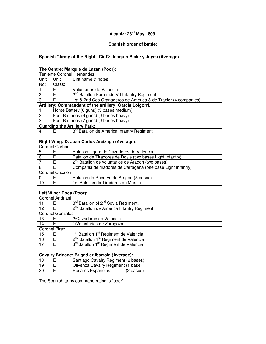### **Alcaniz: 23rd May 1809.**

### **Spanish order of battle:**

### **Spanish "Army of the Right" CinC: Joaquín Blake y Joyes (Average).**

### **The Centre: Marquis de Lazan (Poor):**

Teniente Coronel Hernandez

| Unit                                                     | Unit                                                           | Unit name & notes:                                      |  |
|----------------------------------------------------------|----------------------------------------------------------------|---------------------------------------------------------|--|
| No:                                                      | Class:                                                         |                                                         |  |
|                                                          |                                                                | Voluntarios de Valencia                                 |  |
|                                                          |                                                                | 2 <sup>nd</sup> Batallon Fernando VII Infantry Regiment |  |
| -3                                                       | 1st & 2nd Cos Granaderos de America & de Traxler (4 companies) |                                                         |  |
| Artillery: Commandant of the artillery: Garcia Loigorri. |                                                                |                                                         |  |

|  | Horse Battery (6 guns) (3 bases medium) |  |
|--|-----------------------------------------|--|

|  |                                     | Foot Batteries (6 guns) (3 bases heavy)               |
|--|-------------------------------------|-------------------------------------------------------|
|  |                                     | Foot Batteries (7 guns) (3 bases heavy)               |
|  | <b>Guarding the Artillery Park:</b> |                                                       |
|  |                                     | 3 <sup>rd</sup> Batallon de America Infantry Regiment |

### **Right Wing: D. Juan Carlos Areizaga (Average):**  Coronel Carbon

| -5 |                 | Batallon Ligero de Cazadores de Valencia                      |
|----|-----------------|---------------------------------------------------------------|
| 6  |                 | Batallon de Tiradores de Doyle (two bases Light Infantry)     |
|    |                 | 2 <sup>nd</sup> Batallon de voluntarios de Aragon (two bases) |
|    |                 | Compania de tiradores de Cartagena (one base Light Infantry)  |
|    | Coronel Cucalon |                                                               |
| -9 |                 | Batallon de Reserva de Aragon (5 bases)                       |
| 10 |                 | 1st Batallon de Tiradores de Murcia                           |

### **Left Wing: Roca (Poor):**

### Coronel Andriani: 11 E  $3^{rd}$  Batallon of  $2^{nd}$  Sovia Regiment.<br>12 E  $2^{nd}$  Batallon de America Infantry Re 2<sup>nd</sup> Batallon de America Infantry Regiment Coronel Gonzales 13 | E | 2/Cazadores de Valencia 14 | E | 1/Voluntarios de Zaragoza Coronel Pirez 15  $E$  1<sup>st</sup> Batallon 1<sup>st</sup> Regiment de Valencia 16 E 2<sup>nd</sup> Batallon 1<sup>st</sup> Regiment de Valencia  $17$  E  $3^{rd}$  Batallon 1<sup>st</sup> Regiment de Valencia

### **Cavalry Brigade: Brigadier Ibarrola (Average):**

|  | ' Santiago Cavalry Regiment (2 bases) |
|--|---------------------------------------|
|  | Olivenza Cavalry Regiment (1 base)    |
|  | Husares Espanoles<br>(2 bases)        |

The Spanish army command rating is "poor".